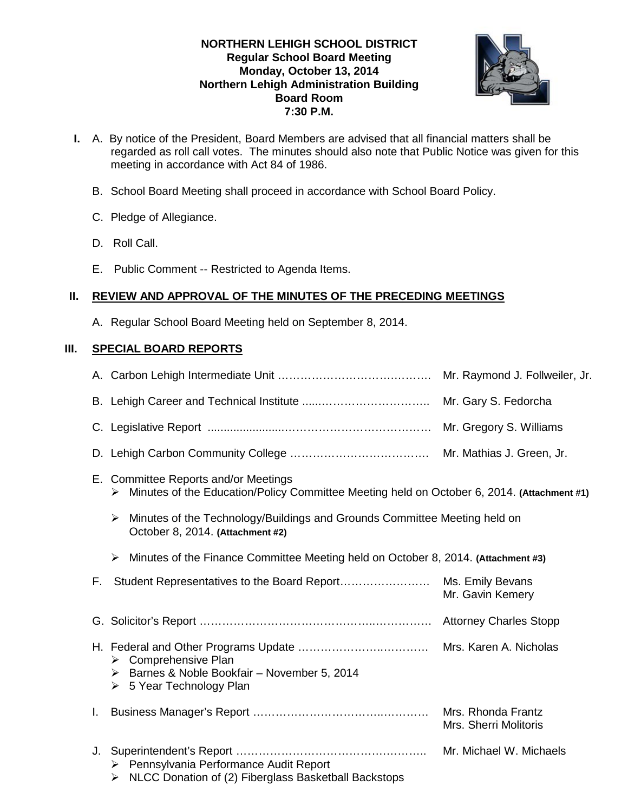# **NORTHERN LEHIGH SCHOOL DISTRICT Regular School Board Meeting Monday, October 13, 2014 Northern Lehigh Administration Building Board Room 7:30 P.M.**



- **I.** A. By notice of the President, Board Members are advised that all financial matters shall be regarded as roll call votes. The minutes should also note that Public Notice was given for this meeting in accordance with Act 84 of 1986.
	- B. School Board Meeting shall proceed in accordance with School Board Policy.
	- C. Pledge of Allegiance.
	- D. Roll Call.
	- E. Public Comment -- Restricted to Agenda Items.

# **II. REVIEW AND APPROVAL OF THE MINUTES OF THE PRECEDING MEETINGS**

A. Regular School Board Meeting held on September 8, 2014.

# **III. SPECIAL BOARD REPORTS**

|    |                                                                                                                                         | Mr. Raymond J. Follweiler, Jr.              |  |  |
|----|-----------------------------------------------------------------------------------------------------------------------------------------|---------------------------------------------|--|--|
|    |                                                                                                                                         | Mr. Gary S. Fedorcha                        |  |  |
|    |                                                                                                                                         |                                             |  |  |
|    |                                                                                                                                         |                                             |  |  |
|    | E. Committee Reports and/or Meetings<br>Minutes of the Education/Policy Committee Meeting held on October 6, 2014. (Attachment #1)<br>➤ |                                             |  |  |
|    | Minutes of the Technology/Buildings and Grounds Committee Meeting held on<br>➤<br>October 8, 2014. (Attachment #2)                      |                                             |  |  |
|    | Minutes of the Finance Committee Meeting held on October 8, 2014. (Attachment #3)<br>➤                                                  |                                             |  |  |
| F. |                                                                                                                                         | Mr. Gavin Kemery                            |  |  |
|    |                                                                                                                                         |                                             |  |  |
|    | $\triangleright$ Comprehensive Plan<br>> Barnes & Noble Bookfair - November 5, 2014<br>5 Year Technology Plan<br>➤                      |                                             |  |  |
| Ι. |                                                                                                                                         | Mrs. Rhonda Frantz<br>Mrs. Sherri Molitoris |  |  |
| J. | ▶ Pennsylvania Performance Audit Report<br>$\triangleright$ NLCC Donation of (2) Fiberglass Basketball Backstops                        | Mr. Michael W. Michaels                     |  |  |
|    |                                                                                                                                         |                                             |  |  |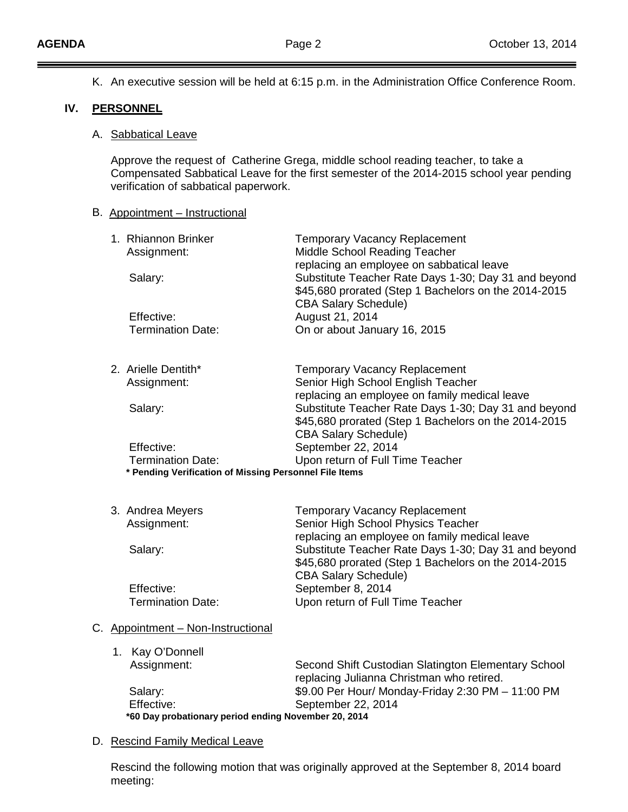$=$ 

 $\equiv$ 

|     |                                                                                                                                                                                                                       | K. An executive session will be held at 6:15 p.m. in the Administration Office Conference Room.  |                                                                                                                                             |  |  |  |
|-----|-----------------------------------------------------------------------------------------------------------------------------------------------------------------------------------------------------------------------|--------------------------------------------------------------------------------------------------|---------------------------------------------------------------------------------------------------------------------------------------------|--|--|--|
| IV. |                                                                                                                                                                                                                       | <b>PERSONNEL</b>                                                                                 |                                                                                                                                             |  |  |  |
|     |                                                                                                                                                                                                                       | A. Sabbatical Leave                                                                              |                                                                                                                                             |  |  |  |
|     | Approve the request of Catherine Grega, middle school reading teacher, to take a<br>Compensated Sabbatical Leave for the first semester of the 2014-2015 school year pending<br>verification of sabbatical paperwork. |                                                                                                  |                                                                                                                                             |  |  |  |
|     |                                                                                                                                                                                                                       | B. Appointment - Instructional                                                                   |                                                                                                                                             |  |  |  |
|     |                                                                                                                                                                                                                       | 1. Rhiannon Brinker<br>Assignment:                                                               | <b>Temporary Vacancy Replacement</b><br>Middle School Reading Teacher<br>replacing an employee on sabbatical leave                          |  |  |  |
|     |                                                                                                                                                                                                                       | Salary:                                                                                          | Substitute Teacher Rate Days 1-30; Day 31 and beyond<br>\$45,680 prorated (Step 1 Bachelors on the 2014-2015<br><b>CBA Salary Schedule)</b> |  |  |  |
|     |                                                                                                                                                                                                                       | Effective:<br><b>Termination Date:</b>                                                           | August 21, 2014<br>On or about January 16, 2015                                                                                             |  |  |  |
|     |                                                                                                                                                                                                                       | 2. Arielle Dentith*<br>Assignment:                                                               | <b>Temporary Vacancy Replacement</b><br>Senior High School English Teacher<br>replacing an employee on family medical leave                 |  |  |  |
|     |                                                                                                                                                                                                                       | Salary:                                                                                          | Substitute Teacher Rate Days 1-30; Day 31 and beyond<br>\$45,680 prorated (Step 1 Bachelors on the 2014-2015<br><b>CBA Salary Schedule)</b> |  |  |  |
|     |                                                                                                                                                                                                                       | Effective:<br><b>Termination Date:</b><br>* Pending Verification of Missing Personnel File Items | September 22, 2014<br>Upon return of Full Time Teacher                                                                                      |  |  |  |
|     |                                                                                                                                                                                                                       | 3. Andrea Meyers<br>Assignment:                                                                  | <b>Temporary Vacancy Replacement</b><br>Senior High School Physics Teacher<br>replacing an employee on family medical leave                 |  |  |  |
|     |                                                                                                                                                                                                                       | Salary:                                                                                          | Substitute Teacher Rate Days 1-30; Day 31 and beyond<br>\$45,680 prorated (Step 1 Bachelors on the 2014-2015<br><b>CBA Salary Schedule)</b> |  |  |  |
|     |                                                                                                                                                                                                                       | Effective:<br><b>Termination Date:</b>                                                           | September 8, 2014<br>Upon return of Full Time Teacher                                                                                       |  |  |  |
|     |                                                                                                                                                                                                                       | C. Appointment - Non-Instructional                                                               |                                                                                                                                             |  |  |  |
|     |                                                                                                                                                                                                                       | Kay O'Donnell<br>1.                                                                              |                                                                                                                                             |  |  |  |
|     |                                                                                                                                                                                                                       | Assignment:                                                                                      | Second Shift Custodian Slatington Elementary School<br>replacing Julianna Christman who retired.                                            |  |  |  |
|     |                                                                                                                                                                                                                       | Salary:                                                                                          | \$9.00 Per Hour/ Monday-Friday 2:30 PM - 11:00 PM                                                                                           |  |  |  |
|     |                                                                                                                                                                                                                       | Effective:<br>*60 Day probationary period ending November 20, 2014                               | September 22, 2014                                                                                                                          |  |  |  |
|     |                                                                                                                                                                                                                       | D. Rescind Family Medical Leave                                                                  |                                                                                                                                             |  |  |  |

Rescind the following motion that was originally approved at the September 8, 2014 board meeting: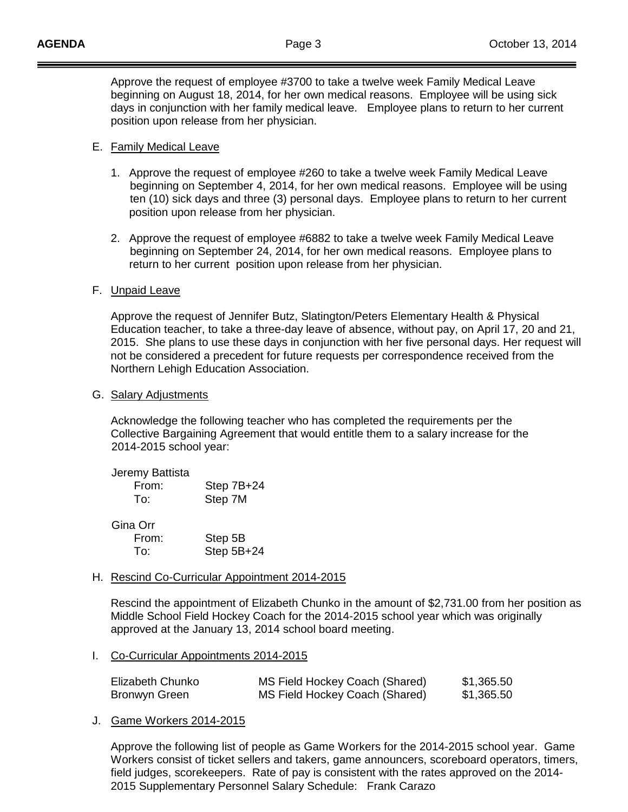Approve the request of employee #3700 to take a twelve week Family Medical Leave beginning on August 18, 2014, for her own medical reasons. Employee will be using sick days in conjunction with her family medical leave. Employee plans to return to her current position upon release from her physician.

#### E. Family Medical Leave

- 1. Approve the request of employee #260 to take a twelve week Family Medical Leave beginning on September 4, 2014, for her own medical reasons. Employee will be using ten (10) sick days and three (3) personal days. Employee plans to return to her current position upon release from her physician.
- 2. Approve the request of employee #6882 to take a twelve week Family Medical Leave beginning on September 24, 2014, for her own medical reasons. Employee plans to return to her current position upon release from her physician.

## F. <u>Unpaid Leave</u>

Approve the request of Jennifer Butz, Slatington/Peters Elementary Health & Physical Education teacher, to take a three-day leave of absence, without pay, on April 17, 20 and 21, 2015. She plans to use these days in conjunction with her five personal days. Her request will not be considered a precedent for future requests per correspondence received from the Northern Lehigh Education Association.

#### G. Salary Adjustments

Acknowledge the following teacher who has completed the requirements per the Collective Bargaining Agreement that would entitle them to a salary increase for the 2014-2015 school year:

| Jeremy Battista<br>From:<br>T∩∵ | Step 7B+24<br>Step 7M |
|---------------------------------|-----------------------|
| Gina Orr<br>From:               | Step 5B               |
| To:                             | Step 5B+24            |

H. Rescind Co-Curricular Appointment 2014-2015

Rescind the appointment of Elizabeth Chunko in the amount of \$2,731.00 from her position as Middle School Field Hockey Coach for the 2014-2015 school year which was originally approved at the January 13, 2014 school board meeting.

I. Co-Curricular Appointments 2014-2015

| Elizabeth Chunko | MS Field Hockey Coach (Shared) | \$1,365.50 |
|------------------|--------------------------------|------------|
| Bronwyn Green    | MS Field Hockey Coach (Shared) | \$1,365.50 |

J. Game Workers 2014-2015

Approve the following list of people as Game Workers for the 2014-2015 school year. Game Workers consist of ticket sellers and takers, game announcers, scoreboard operators, timers, field judges, scorekeepers. Rate of pay is consistent with the rates approved on the 2014- 2015 Supplementary Personnel Salary Schedule: Frank Carazo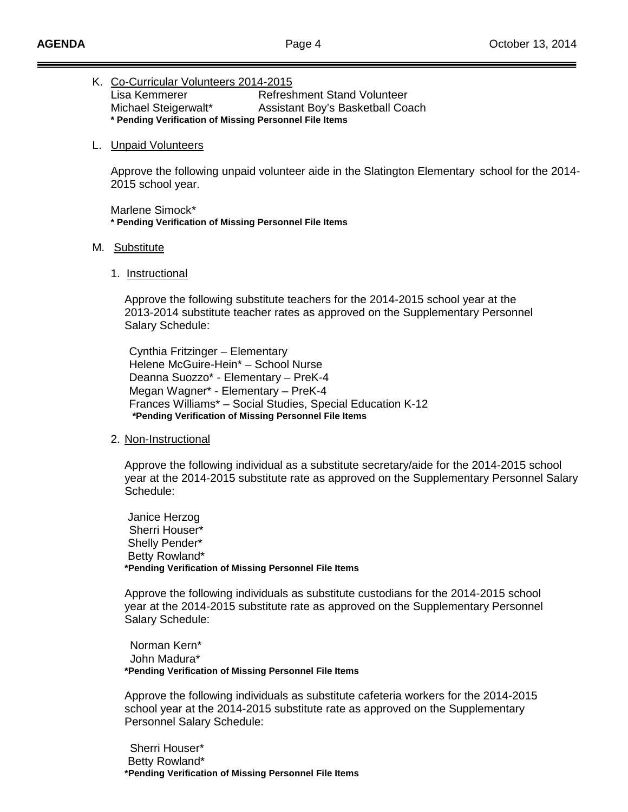## K. Co-Curricular Volunteers 2014-2015

Lisa Kemmerer **Refreshment Stand Volunteer** Michael Steigerwalt\* Assistant Boy's Basketball Coach **\* Pending Verification of Missing Personnel File Items**

#### L. Unpaid Volunteers

Approve the following unpaid volunteer aide in the Slatington Elementary school for the 2014- 2015 school year.

Marlene Simock\* **\* Pending Verification of Missing Personnel File Items**

#### M. <u>Substitute</u>

1. <u>Instructional</u>

Approve the following substitute teachers for the 2014-2015 school year at the 2013-2014 substitute teacher rates as approved on the Supplementary Personnel Salary Schedule:

Cynthia Fritzinger – Elementary Helene McGuire-Hein\* – School Nurse Deanna Suozzo\* - Elementary – PreK-4 Megan Wagner\* - Elementary – PreK-4 Frances Williams\* – Social Studies, Special Education K-12 **\*Pending Verification of Missing Personnel File Items**

#### 2. <u>Non-Instructional</u>

Approve the following individual as a substitute secretary/aide for the 2014-2015 school year at the 2014-2015 substitute rate as approved on the Supplementary Personnel Salary Schedule:

Janice Herzog Sherri Houser\* Shelly Pender\* Betty Rowland\* **\*Pending Verification of Missing Personnel File Items**

Approve the following individuals as substitute custodians for the 2014-2015 school year at the 2014-2015 substitute rate as approved on the Supplementary Personnel Salary Schedule:

 Norman Kern\* John Madura\* **\*Pending Verification of Missing Personnel File Items**

Approve the following individuals as substitute cafeteria workers for the 2014-2015 school year at the 2014-2015 substitute rate as approved on the Supplementary Personnel Salary Schedule:

 Sherri Houser\* Betty Rowland\* **\*Pending Verification of Missing Personnel File Items**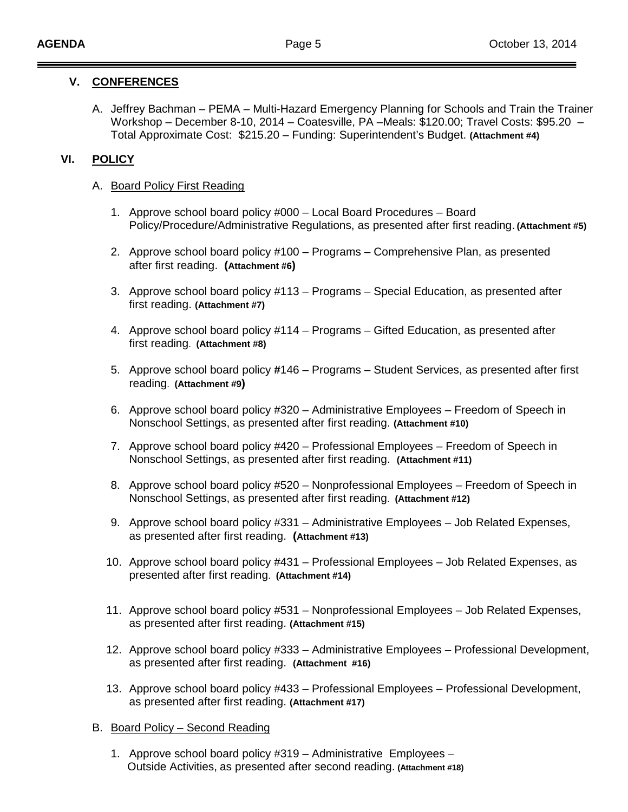# **V. CONFERENCES**

A. Jeffrey Bachman – PEMA – Multi-Hazard Emergency Planning for Schools and Train the Trainer Workshop – December 8-10, 2014 – Coatesville, PA –Meals: \$120.00; Travel Costs: \$95.20 – Total Approximate Cost: \$215.20 – Funding: Superintendent's Budget. **(Attachment #4)**

# **VI. POLICY**

# A. Board Policy First Reading

- 1. Approve school board policy #000 Local Board Procedures Board Policy/Procedure/Administrative Regulations, as presented after first reading. **(Attachment #5)**
- 2. Approve school board policy #100 Programs Comprehensive Plan, as presented after first reading. **(Attachment #6)**
- 3. Approve school board policy #113 Programs Special Education, as presented after first reading. **(Attachment #7)**
- 4. Approve school board policy #114 Programs Gifted Education, as presented after first reading. **(Attachment #8)**
- 5. Approve school board policy **#**146 Programs Student Services, as presented after first reading. **(Attachment #9)**
- 6. Approve school board policy #320 Administrative Employees Freedom of Speech in Nonschool Settings, as presented after first reading. **(Attachment #10)**
- 7. Approve school board policy #420 Professional Employees Freedom of Speech in Nonschool Settings, as presented after first reading. **(Attachment #11)**
- 8. Approve school board policy #520 Nonprofessional Employees Freedom of Speech in Nonschool Settings, as presented after first reading. **(Attachment #12)**
- 9. Approve school board policy #331 Administrative Employees Job Related Expenses, as presented after first reading. **(Attachment #13)**
- 10. Approve school board policy #431 Professional Employees Job Related Expenses, as presented after first reading. **(Attachment #14)**
- 11. Approve school board policy #531 Nonprofessional Employees Job Related Expenses, as presented after first reading. **(Attachment #15)**
- 12. Approve school board policy #333 Administrative Employees Professional Development, as presented after first reading. **(Attachment #16)**
- 13. Approve school board policy #433 Professional Employees Professional Development, as presented after first reading. **(Attachment #17)**

# B. Board Policy – Second Reading

1. Approve school board policy #319 – Administrative Employees – Outside Activities, as presented after second reading. **(Attachment #18)**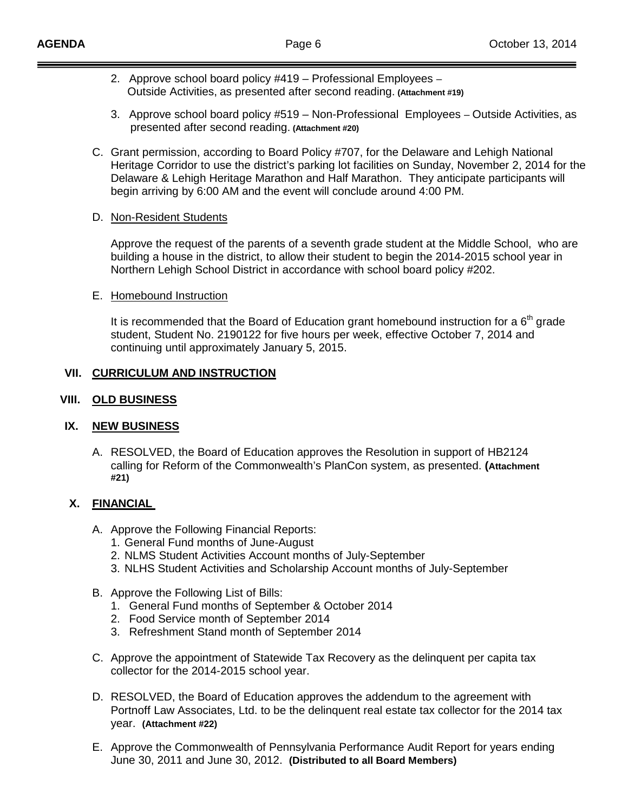- 2. Approve school board policy #419 Professional Employees Outside Activities, as presented after second reading. **(Attachment #19)**
- 3. Approve school board policy #519 Non-Professional Employees Outside Activities, as presented after second reading. **(Attachment #20)**
- C. Grant permission, according to Board Policy #707, for the Delaware and Lehigh National Heritage Corridor to use the district's parking lot facilities on Sunday, November 2, 2014 for the Delaware & Lehigh Heritage Marathon and Half Marathon. They anticipate participants will begin arriving by 6:00 AM and the event will conclude around 4:00 PM.

## D. Non-Resident Students

Approve the request of the parents of a seventh grade student at the Middle School, who are building a house in the district, to allow their student to begin the 2014-2015 school year in Northern Lehigh School District in accordance with school board policy #202.

#### E. Homebound Instruction

It is recommended that the Board of Education grant homebound instruction for a  $6<sup>th</sup>$  grade student, Student No. 2190122 for five hours per week, effective October 7, 2014 and continuing until approximately January 5, 2015.

# **VII. CURRICULUM AND INSTRUCTION**

#### **VIII. OLD BUSINESS**

# **IX. NEW BUSINESS**

A. RESOLVED, the Board of Education approves the Resolution in support of HB2124 calling for Reform of the Commonwealth's PlanCon system, as presented. **(Attachment #21)**

# **X. FINANCIAL**

- A. Approve the Following Financial Reports:
	- 1. General Fund months of June-August
	- 2. NLMS Student Activities Account months of July-September
	- 3. NLHS Student Activities and Scholarship Account months of July-September
- B. Approve the Following List of Bills:
	- 1. General Fund months of September & October 2014
	- 2. Food Service month of September 2014
	- 3. Refreshment Stand month of September 2014
- C. Approve the appointment of Statewide Tax Recovery as the delinquent per capita tax collector for the 2014-2015 school year.
- D. RESOLVED, the Board of Education approves the addendum to the agreement with Portnoff Law Associates, Ltd. to be the delinquent real estate tax collector for the 2014 tax year. **(Attachment #22)**
- E. Approve the Commonwealth of Pennsylvania Performance Audit Report for years ending June 30, 2011 and June 30, 2012. **(Distributed to all Board Members)**